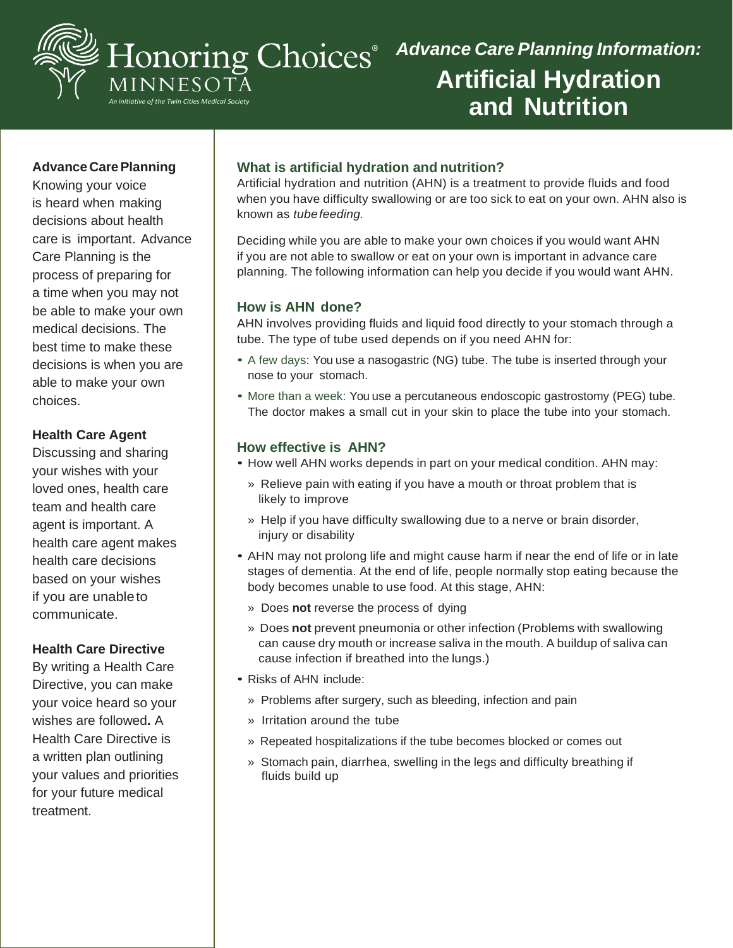

# *Advance Care Planning Information:* **Artificial Hydration and Nutrition**

## **Advance CarePlanning**

Knowing your voice is heard when making decisions about health care is important. Advance Care Planning is the process of preparing for a time when you may not be able to make your own medical decisions. The best time to make these decisions is when you are able to make your own choices.

#### **Health Care Agent**

Discussing and sharing your wishes with your loved ones, health care team and health care agent is important. A health care agent makes health care decisions based on your wishes if you are unableto communicate.

## **Health Care Directive**

By writing a Health Care Directive, you can make your voice heard so your wishes are followed**.** A Health Care Directive is a written plan outlining your values and priorities for your future medical treatment.

# **What is artificial hydration and nutrition?**

Artificial hydration and nutrition (AHN) is a treatment to provide fluids and food when you have difficulty swallowing or are too sick to eat on your own. AHN also is known as *tubefeeding.*

Deciding while you are able to make your own choices if you would want AHN if you are not able to swallow or eat on your own is important in advance care planning. The following information can help you decide if you would want AHN.

#### **How is AHN done?**

AHN involves providing fluids and liquid food directly to your stomach through a tube. The type of tube used depends on if you need AHN for:

- A few days: You use a nasogastric (NG) tube. The tube is inserted through your nose to your stomach.
- More than a week: You use a percutaneous endoscopic gastrostomy (PEG) tube. The doctor makes a small cut in your skin to place the tube into your stomach.

## **How effective is AHN?**

- How well AHN works depends in part on your medical condition. AHN may:
	- » Relieve pain with eating if you have a mouth or throat problem that is likely to improve
	- » Help if you have difficulty swallowing due to a nerve or brain disorder, injury or disability
- AHN may not prolong life and might cause harm if near the end of life or in late stages of dementia. At the end of life, people normally stop eating because the body becomes unable to use food. At this stage, AHN:
	- » Does **not** reverse the process of dying
	- » Does **not** prevent pneumonia or other infection (Problems with swallowing can cause dry mouth or increase saliva in the mouth. A buildup of saliva can cause infection if breathed into the lungs.)
- Risks of AHN include:
	- » Problems after surgery, such as bleeding, infection and pain
	- » Irritation around the tube
	- » Repeated hospitalizations if the tube becomes blocked or comes out
	- » Stomach pain, diarrhea, swelling in the legs and difficulty breathing if fluids build up